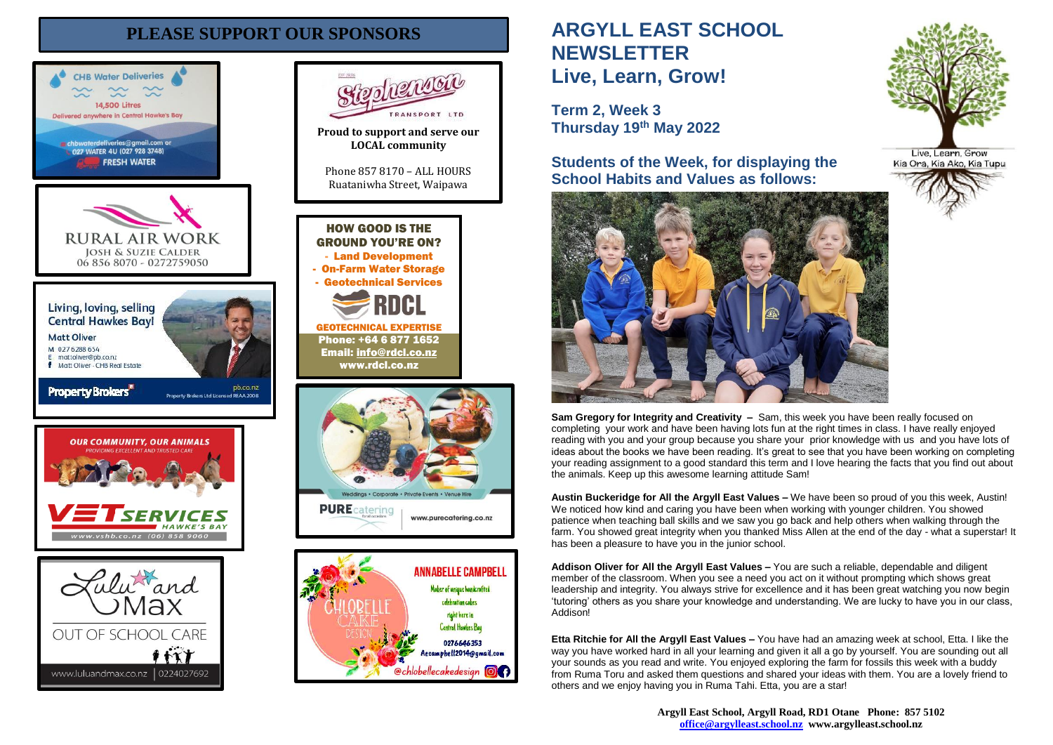# **PLEASE SUPPORT OUR SPONSORS**





Maker of unique handcrafted celebration cakes right here in Central Hawkes Bay

0276646353 Aecampbell2014@gmail.com **@chlobellecakedesian @CD** 



**Term 2, Week 3 Thursday 19th May 2022**

**Students of the Week, for displaying the School Habits and Values as follows:**



**Sam Gregory for Integrity and Creativity –** Sam, this week you have been really focused on completing your work and have been having lots fun at the right times in class. I have really enjoyed reading with you and your group because you share your prior knowledge with us and you have lots of ideas about the books we have been reading. It's great to see that you have been working on completing your reading assignment to a good standard this term and I love hearing the facts that you find out about the animals. Keep up this awesome learning attitude Sam!

**Austin Buckeridge for All the Argyll East Values –** We have been so proud of you this week, Austin! We noticed how kind and caring you have been when working with younger children. You showed patience when teaching ball skills and we saw you go back and help others when walking through the farm. You showed great integrity when you thanked Miss Allen at the end of the day - what a superstar! It has been a pleasure to have you in the junior school.

**Addison Oliver for All the Argyll East Values –** You are such a reliable, dependable and diligent member of the classroom. When you see a need you act on it without prompting which shows great leadership and integrity. You always strive for excellence and it has been great watching you now begin 'tutoring' others as you share your knowledge and understanding. We are lucky to have you in our class, Addison!

**Etta Ritchie for All the Argyll East Values –** You have had an amazing week at school, Etta. I like the way you have worked hard in all your learning and given it all a go by yourself. You are sounding out all your sounds as you read and write. You enjoyed exploring the farm for fossils this week with a buddy from Ruma Toru and asked them questions and shared your ideas with them. You are a lovely friend to others and we enjoy having you in Ruma Tahi. Etta, you are a star!

> **Argyll East School, Argyll Road, RD1 Otane Phone: 857 5102 [office@argylleast.school.nz](mailto:office@argylleast.school.nz) www.argylleast.school.nz**



Live, Learn, Grow Kia Ora, Kia Ako, Kia Tupu